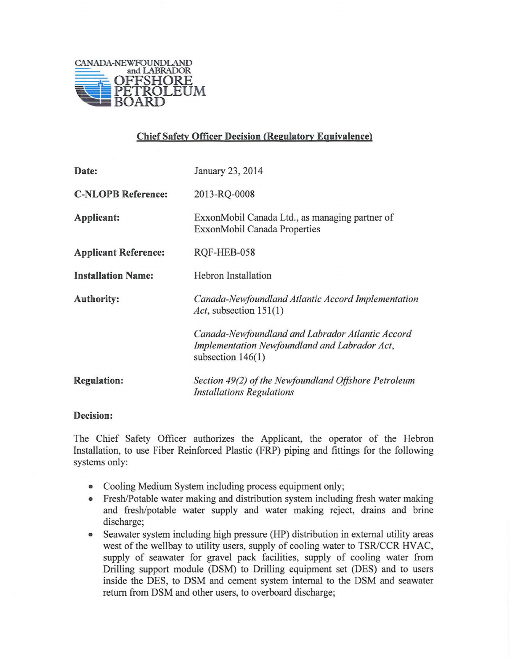

## Chief Safety Officer Decision (Regulatory Equivalence)

| Date:                       | January 23, 2014                                                                                                         |
|-----------------------------|--------------------------------------------------------------------------------------------------------------------------|
| <b>C-NLOPB Reference:</b>   | 2013-RQ-0008                                                                                                             |
| Applicant:                  | ExxonMobil Canada Ltd., as managing partner of<br>ExxonMobil Canada Properties                                           |
| <b>Applicant Reference:</b> | RQF-HEB-058                                                                                                              |
| <b>Installation Name:</b>   | <b>Hebron</b> Installation                                                                                               |
| <b>Authority:</b>           | Canada-Newfoundland Atlantic Accord Implementation<br>Act, subsection $151(1)$                                           |
|                             | Canada-Newfoundland and Labrador Atlantic Accord<br>Implementation Newfoundland and Labrador Act,<br>subsection $146(1)$ |
| <b>Regulation:</b>          | Section 49(2) of the Newfoundland Offshore Petroleum<br><b>Installations Regulations</b>                                 |

## Decision:

The Chief Safety Officer authorizes the Applicant, the operator of the Hebron Installation, to use Fiber Reinforced Plastic (FRP) piping and fittings for the following systems only:

- Cooling Medium System including process equipment only;
- Fresh/Potable water making and distribution system including fresh water making and fresh/potable water supply and water making reject, drains and brine discharge;
- Seawater system including high pressure (HP) distribution in external utility areas west of the wellbay to utility users, supply of cooling water to TSR/CCR HVAC, supply of seawater for gravel pack facilities, supply of cooling water from Drilling support module (DSM) to Drilling equipment set (DES) and to users inside the DES, to DSM and cement system internal to the DSM and seawater return from DSM and other users, to overboard discharge;